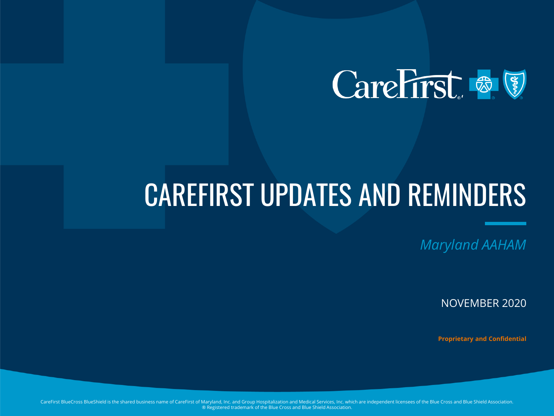

# CAREFIRST UPDATES AND REMINDERS

*Maryland AAHAM*

NOVEMBER 2020

**Proprietary and Confidential**

CareFirst BlueCross BlueShield is the shared business name of CareFirst of Maryland, Inc. and Group Hospitalization and Medical Services, Inc. which are independent licensees of the Blue Cross and Blue Shield Association. ® Registered trademark of the Blue Cross and Blue Shield Association.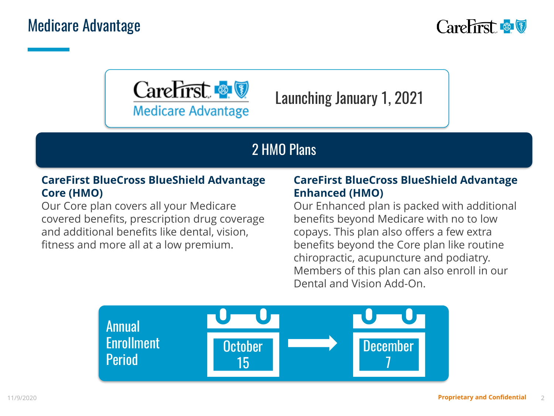



Launching January 1, 2021

#### 2 HMO Plans

#### **CareFirst BlueCross BlueShield Advantage Core (HMO)**

Our Core plan covers all your Medicare covered benefits, prescription drug coverage and additional benefits like dental, vision, fitness and more all at a low premium.

#### **CareFirst BlueCross BlueShield Advantage Enhanced (HMO)**

Our Enhanced plan is packed with additional benefits beyond Medicare with no to low copays. This plan also offers a few extra benefits beyond the Core plan like routine chiropractic, acupuncture and podiatry. Members of this plan can also enroll in our Dental and Vision Add-On.

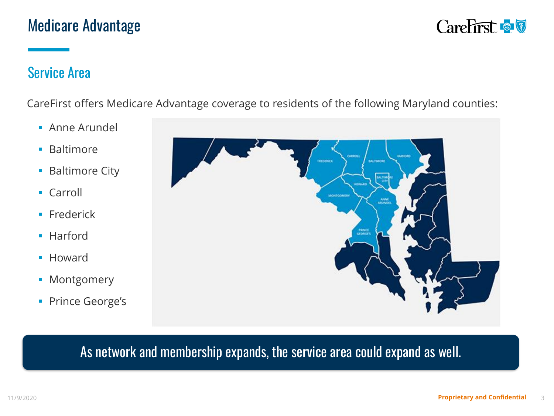

#### Service Area

CareFirst offers Medicare Advantage coverage to residents of the following Maryland counties:

- **E** Anne Arundel
- Baltimore
- Baltimore City
- Carroll
- **·** Frederick
- Harford
- Howard
- **■** Montgomery
- **Prince George's**



#### As network and membership expands, the service area could expand as well.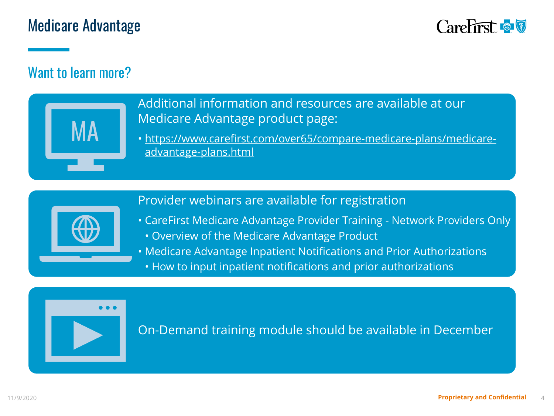## Medicare Advantage



#### Want to learn more?



Additional information and resources are available at our Medicare Advantage product page:

• [https://www.carefirst.com/over65/compare-medicare-plans/medicare](https://www.carefirst.com/over65/compare-medicare-plans/medicare-advantage-plans.html)advantage-plans.html

#### Provider webinars are available for registration



• CareFirst Medicare Advantage Provider Training - Network Providers Only • Overview of the Medicare Advantage Product

• Medicare Advantage Inpatient Notifications and Prior Authorizations

• How to input inpatient notifications and prior authorizations



On-Demand training module should be available in December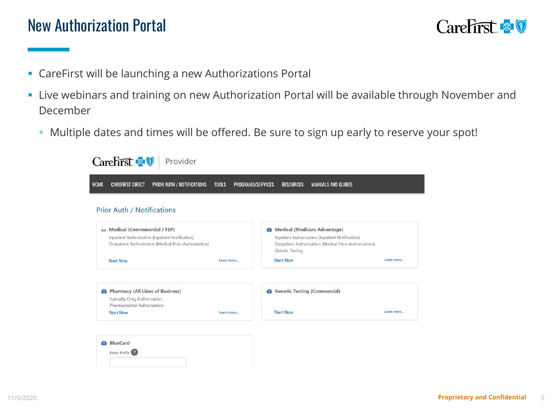## New Authorization Portal



- **EXEC** CareFirst will be launching a new Authorizations Portal
- **.** Live webinars and training on new Authorization Portal will be available through November and December
	- Multiple dates and times will be offered. Be sure to sign up early to reserve your spot!

| <b>CAREFIRST DIRECT</b><br><b>PRIOR AUTH / NOTIFICATIONS</b><br><b>HOME</b>                                                                         | <b>TOOLS</b> | <b>PROGRAMS/SERVICES</b><br><b>RESOURCES</b><br><b>MANUALS AND GUIDES</b>                                                                                     |            |
|-----------------------------------------------------------------------------------------------------------------------------------------------------|--------------|---------------------------------------------------------------------------------------------------------------------------------------------------------------|------------|
| <b>Prior Auth / Notifications</b>                                                                                                                   |              |                                                                                                                                                               |            |
| <b>Av</b> Medical (Commmercial / FEP)<br>Inpatient Authorization (Inpatient Notification)<br>Outpatient Authorization (Medical Prior-Authorization) |              | Medical (Medicare Advantage)<br>Inpatient Authorization (Inpatient Notification)<br>Outpatient Authorization (Medical Prior-Authorization)<br>Genetic Testing |            |
| <b>Start Now</b>                                                                                                                                    | Learn more   | <b>Start Now</b>                                                                                                                                              | Learn more |
| Pharmacy (All Lines of Business)<br>Specialty Drug Authorization<br>Pharmaceutical Authorization                                                    |              | <b>C</b> Genetic Testing (Commercial)                                                                                                                         |            |
| <b>Start Now</b>                                                                                                                                    | Learn more   | <b>Start Now</b>                                                                                                                                              | Learn more |
|                                                                                                                                                     |              |                                                                                                                                                               |            |
| BlueCard<br>Enter Prefix (2)                                                                                                                        |              |                                                                                                                                                               |            |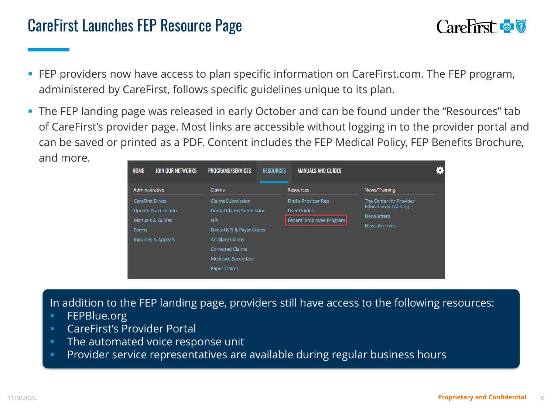## CareFirst Launches FEP Resource Page



- **EXPERENGERS FIGUSTS** FEP program, **EXPERENGERY on SHEP program,** The FEP program, administered by CareFirst, follows specific guidelines unique to its plan.
- **The FEP landing page was released in early October and can be found under the "Resources" tab** of CareFirst's provider page. Most links are accessible without logging in to the provider portal and can be saved or printed as a PDF. Content includes the FEP Medical Policy, FEP Benefits Brochure, and more.



In addition to the FEP landing page, providers still have access to the following resources:

- FEPBlue.org
- CareFirst's Provider Portal
- The automated voice response unit
- Provider service representatives are available during regular business hours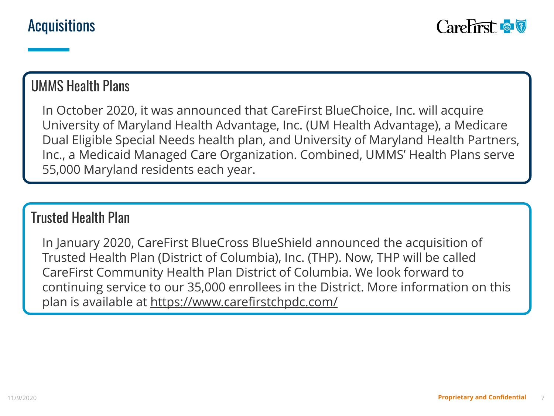#### UMMS Health Plans

In October 2020, it was announced that CareFirst BlueChoice, Inc. will acquire University of Maryland Health Advantage, Inc. (UM Health Advantage), a Medicare Dual Eligible Special Needs health plan, and University of Maryland Health Partners, Inc., a Medicaid Managed Care Organization. Combined, UMMS' Health Plans serve 55,000 Maryland residents each year.

#### Trusted Health Plan

In January 2020, CareFirst BlueCross BlueShield announced the acquisition of Trusted Health Plan (District of Columbia), Inc. (THP). Now, THP will be called CareFirst Community Health Plan District of Columbia. We look forward to continuing service to our 35,000 enrollees in the District. More information on this plan is available at<https://www.carefirstchpdc.com/>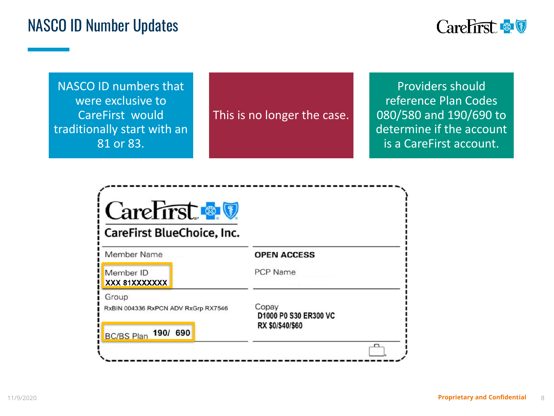## NASCO ID Number Updates



NASCO ID numbers that were exclusive to CareFirst would traditionally start with an 81 or 83.

This is no longer the case.

Providers should reference Plan Codes 080/580 and 190/690 to determine if the account is a CareFirst account.

| CareFirst & V<br>CareFirst BlueChoice, Inc.                                   |                                                    |
|-------------------------------------------------------------------------------|----------------------------------------------------|
| <b>Member Name</b>                                                            | <b>OPEN ACCESS</b>                                 |
| Member ID<br>XXX 81XXXXXXX                                                    | <b>PCP Name</b>                                    |
| Group<br>RxBIN 004336 RxPCN ADV RxGrp RX7546<br>190/ 690<br><b>BC/BS Plan</b> | Copay<br>D1000 P0 S30 ER300 VC<br>RX \$0/\$40/\$60 |
|                                                                               |                                                    |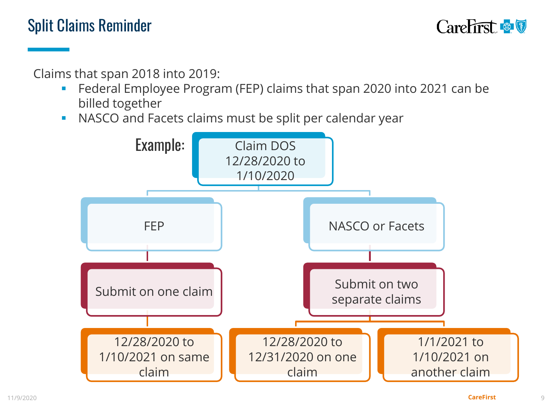

Claims that span 2018 into 2019:

- Federal Employee Program (FEP) claims that span 2020 into 2021 can be billed together
- **NASCO and Facets claims must be split per calendar year**

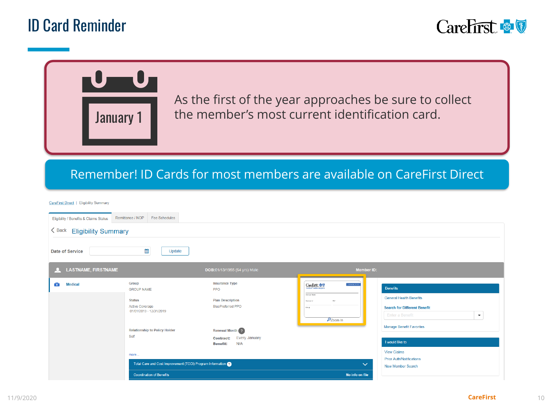## ID Card Reminder



# As the first of the year approaches be sure to collect the member's most current identification card. January 1

#### Remember! ID Cards for most members are available on CareFirst Direct

CareFirst Direct | Eligibility Summary

| Eligibility / Benefits & Claims Status | Remittance / NOP<br>Fee Schedules                                                                                      |                                                                                            |                                                                                                                     |                                                                                                                                     |
|----------------------------------------|------------------------------------------------------------------------------------------------------------------------|--------------------------------------------------------------------------------------------|---------------------------------------------------------------------------------------------------------------------|-------------------------------------------------------------------------------------------------------------------------------------|
| < Back Eligibility Summary             |                                                                                                                        |                                                                                            |                                                                                                                     |                                                                                                                                     |
| Date of Service                        | ₩<br>Update                                                                                                            |                                                                                            |                                                                                                                     |                                                                                                                                     |
| LASTNAME, FIRSTNAME<br>$\mathcal{A}$   |                                                                                                                        | DOB:01/13/1955 (64 yrs) Male                                                               | <b>Member ID:</b>                                                                                                   |                                                                                                                                     |
| â<br><b>Medical</b>                    | Group<br><b>GROUP NAME</b><br><b>Status</b><br><b>Active Coverage</b><br>01/01/2019 - 12/31/2019                       | <b>Insurance Type</b><br><b>PPO</b><br><b>Plan Description</b><br><b>BluePreferred PPO</b> | <b>THOOD FOR</b><br>CareFirst & O<br>The relies F&mar<br><b>PVP</b><br>Owntak 12<br>Centum<br>$\mathcal{D}$ Zoom In | <b>Benefits</b><br><b>General Health Benefits</b><br><b>Search for Different Benefit</b><br>Enter a Benefit<br>$\blacktriangledown$ |
|                                        | <b>Relationship to Policy Holder</b><br>Self<br>more<br>Total Care and Cost Improvement (TCCI) Program Information (2) | Renewal Month ?<br>Every January<br><b>Contract:</b><br>N/A<br><b>Benefit:</b>             | $\checkmark$                                                                                                        | <b>Manage Benefit Favorites</b><br>I would like to<br><b>View Claims</b><br><b>Prior Auth/Notifications</b><br>New Member Search    |
|                                        | <b>Coordination of Benefits</b>                                                                                        |                                                                                            | No info on file                                                                                                     |                                                                                                                                     |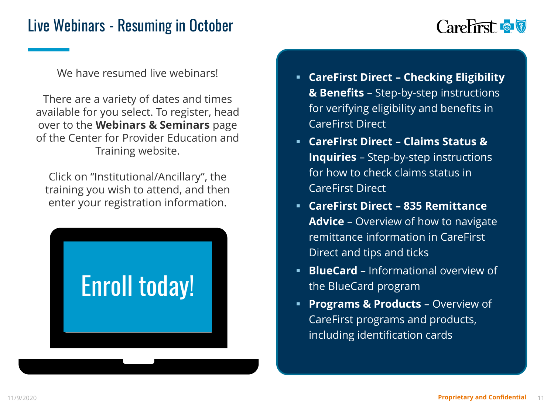## Live Webinars - Resuming in October



We have resumed live webinars!

There are a variety of dates and times available for you select. To register, head over to the **Webinars & Seminars** page of the Center for Provider Education and Training website.

Click on "Institutional/Ancillary", the training you wish to attend, and then enter your registration information.



- **CareFirst Direct – Checking Eligibility & Benefits** – Step-by-step instructions for verifying eligibility and benefits in CareFirst Direct
- **CareFirst Direct – Claims Status & Inquiries** – Step-by-step instructions for how to check claims status in CareFirst Direct
- **CareFirst Direct – 835 Remittance Advice** – Overview of how to navigate remittance information in CareFirst Direct and tips and ticks
- **BlueCard** Informational overview of the BlueCard program
- **Programs & Products** Overview of CareFirst programs and products, including identification cards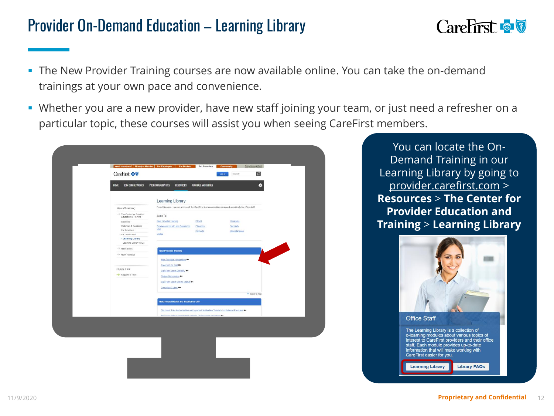## Provider On-Demand Education – Learning Library



- **The New Provider Training courses are now available online. You can take the on-demand** trainings at your own pace and convenience.
- **EX Whether you are a new provider, have new staff joining your team, or just need a refresher on a** particular topic, these courses will assist you when seeing CareFirst members.

|                                                               | Learning Library                                                                                          |
|---------------------------------------------------------------|-----------------------------------------------------------------------------------------------------------|
| News/Training                                                 | From this page, you can access all the CareFirst learning modules designed specifically for office staff. |
| $\rightarrow$ The Center for Provider<br>Education & Training | Jump To:                                                                                                  |
| Solutions                                                     | New Provider Training<br><b>PCMH</b><br>Programs                                                          |
| Webinars & Seminars<br>For Providers                          | Behavioural Health and Substance<br>Pharmacy<br><b>Specialty</b><br><b>Use</b>                            |
| For Office Staff                                              | Products<br>Miscellaneous<br>Dental                                                                       |
| > Learning Library<br>Learning Library FAQs                   |                                                                                                           |
| $\rightarrow$ Newsletters                                     | <b>New Provider Training</b>                                                                              |
| $\rightarrow$ News Archives                                   | <b>Contract Contract Contract</b>                                                                         |
|                                                               | New Provider Introduction                                                                                 |
| Quick Link                                                    | CareFirst On Call OH                                                                                      |
| $\rightarrow$ Suggest a Topic                                 | CareFirst Direct Eligibithy                                                                               |
|                                                               | <b>Claims Submission #4</b>                                                                               |
|                                                               | CareFirst Direct Claims Status                                                                            |
|                                                               | Corrected Claims                                                                                          |
|                                                               | + Back to Top                                                                                             |
|                                                               | Behavioural Health and Substance Use                                                                      |
|                                                               | Electronic Prior Authorization and Inpatient Notifaction Tutorial - Institutional Providers               |
|                                                               | Electronic Drive Authorization Tuberial - Desformings (Securitor 84)                                      |

You can locate the On-Demand Training in our Learning Library by going to [provider.carefirst.com](https://provider.carefirst.com/) > **Resources** > **The Center for Provider Education and Training** > **Learning Library**

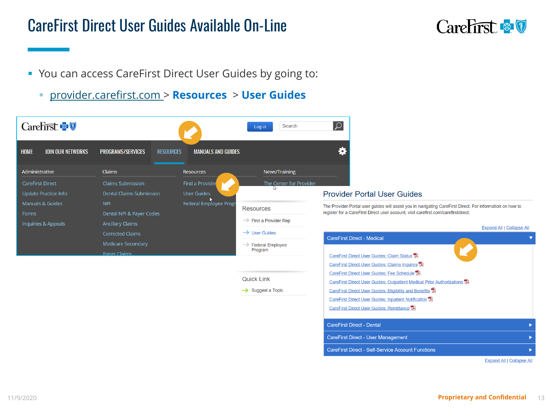#### CareFirst Direct User Guides Available On-Line



- You can access CareFirst Direct User Guides by going to:
	- [provider.carefirst.com](https://provider.carefirst.com/) > **Resources** > **User Guides**



**Expand All | Collapse All**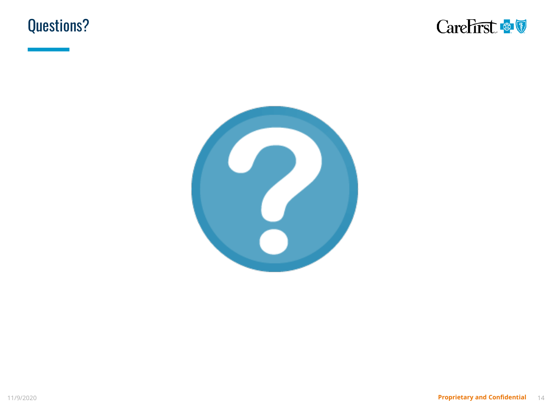